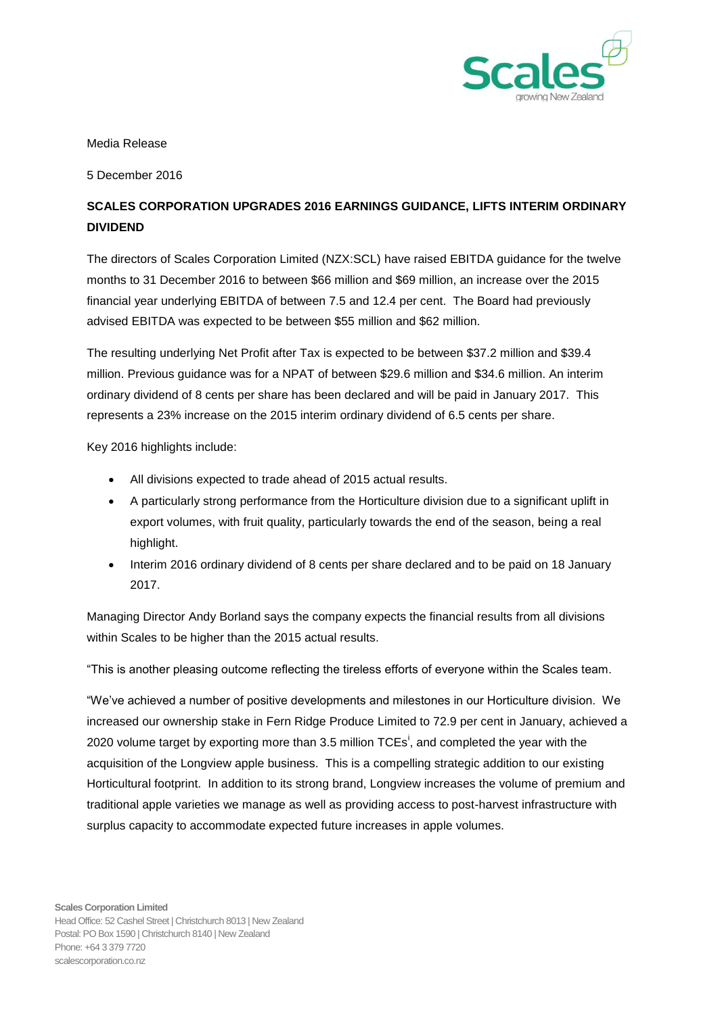

Media Release

5 December 2016

## **SCALES CORPORATION UPGRADES 2016 EARNINGS GUIDANCE, LIFTS INTERIM ORDINARY DIVIDEND**

The directors of Scales Corporation Limited (NZX:SCL) have raised EBITDA guidance for the twelve months to 31 December 2016 to between \$66 million and \$69 million, an increase over the 2015 financial year underlying EBITDA of between 7.5 and 12.4 per cent. The Board had previously advised EBITDA was expected to be between \$55 million and \$62 million.

The resulting underlying Net Profit after Tax is expected to be between \$37.2 million and \$39.4 million. Previous guidance was for a NPAT of between \$29.6 million and \$34.6 million. An interim ordinary dividend of 8 cents per share has been declared and will be paid in January 2017. This represents a 23% increase on the 2015 interim ordinary dividend of 6.5 cents per share.

Key 2016 highlights include:

- All divisions expected to trade ahead of 2015 actual results.
- A particularly strong performance from the Horticulture division due to a significant uplift in export volumes, with fruit quality, particularly towards the end of the season, being a real highlight.
- Interim 2016 ordinary dividend of 8 cents per share declared and to be paid on 18 January 2017.

Managing Director Andy Borland says the company expects the financial results from all divisions within Scales to be higher than the 2015 actual results.

"This is another pleasing outcome reflecting the tireless efforts of everyone within the Scales team.

"We've achieved a number of positive developments and milestones in our Horticulture division. We increased our ownership stake in Fern Ridge Produce Limited to 72.9 per cent in January, achieved a 2020 volume target by exporting more than 3.5 million  $TCEs^i$ , and completed the year with the acquisition of the Longview apple business. This is a compelling strategic addition to our existing Horticultural footprint. In addition to its strong brand, Longview increases the volume of premium and traditional apple varieties we manage as well as providing access to post-harvest infrastructure with surplus capacity to accommodate expected future increases in apple volumes.